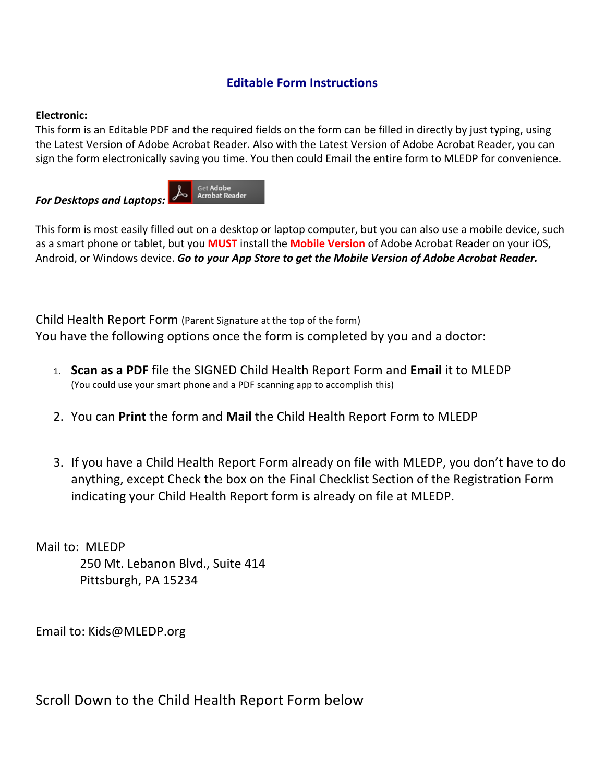## **Editable Form Instructions**

## **Electronic:**

This form is an Editable PDF and the required fields on the form can be filled in directly by just typing, using the Latest Version of Adobe Acrobat Reader. Also with the Latest Version of Adobe Acrobat Reader, you can sign the form electronically saving you time. You then could Email the entire form to MLEDP for convenience.

Get Adobe **Acrobat Reader** *For Desktops and Laptops:* 

This form is most easily filled out on a desktop or laptop computer, but you can also use a mobile device, such as a smart phone or tablet, but you **MUST** install the **Mobile Version** of Adobe Acrobat Reader on your iOS, Android, or Windows device. Go to your App Store to get the Mobile Version of Adobe Acrobat Reader.

Child Health Report Form (Parent Signature at the top of the form) You have the following options once the form is completed by you and a doctor:

- 1. **Scan as a PDF** file the SIGNED Child Health Report Form and **Email** it to MLEDP (You could use your smart phone and a PDF scanning app to accomplish this)
- 2. You can **Print** the form and **Mail** the Child Health Report Form to MLEDP
- 3. If you have a Child Health Report Form already on file with MLEDP, you don't have to do anything, except Check the box on the Final Checklist Section of the Registration Form indicating your Child Health Report form is already on file at MLEDP.

Mail to: MLEDP 250 Mt. Lebanon Blvd., Suite 414 Pittsburgh, PA 15234

Email to: Kids@MLEDP.org

Scroll Down to the Child Health Report Form below